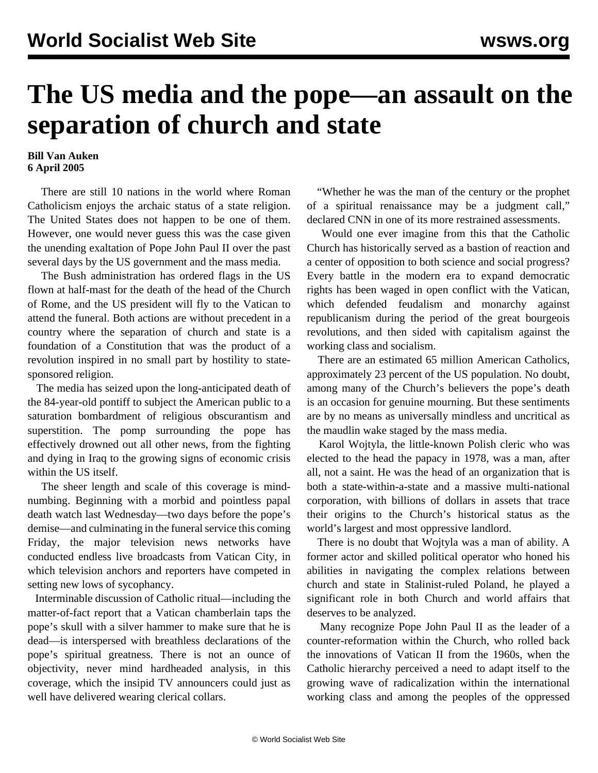## **The US media and the pope—an assault on the separation of church and state**

## **Bill Van Auken 6 April 2005**

 There are still 10 nations in the world where Roman Catholicism enjoys the archaic status of a state religion. The United States does not happen to be one of them. However, one would never guess this was the case given the unending exaltation of Pope John Paul II over the past several days by the US government and the mass media.

 The Bush administration has ordered flags in the US flown at half-mast for the death of the head of the Church of Rome, and the US president will fly to the Vatican to attend the funeral. Both actions are without precedent in a country where the separation of church and state is a foundation of a Constitution that was the product of a revolution inspired in no small part by hostility to statesponsored religion.

 The media has seized upon the long-anticipated death of the 84-year-old pontiff to subject the American public to a saturation bombardment of religious obscurantism and superstition. The pomp surrounding the pope has effectively drowned out all other news, from the fighting and dying in Iraq to the growing signs of economic crisis within the US itself.

 The sheer length and scale of this coverage is mindnumbing. Beginning with a morbid and pointless papal death watch last Wednesday—two days before the pope's demise—and culminating in the funeral service this coming Friday, the major television news networks have conducted endless live broadcasts from Vatican City, in which television anchors and reporters have competed in setting new lows of sycophancy.

 Interminable discussion of Catholic ritual—including the matter-of-fact report that a Vatican chamberlain taps the pope's skull with a silver hammer to make sure that he is dead—is interspersed with breathless declarations of the pope's spiritual greatness. There is not an ounce of objectivity, never mind hardheaded analysis, in this coverage, which the insipid TV announcers could just as well have delivered wearing clerical collars.

 "Whether he was the man of the century or the prophet of a spiritual renaissance may be a judgment call," declared CNN in one of its more restrained assessments.

 Would one ever imagine from this that the Catholic Church has historically served as a bastion of reaction and a center of opposition to both science and social progress? Every battle in the modern era to expand democratic rights has been waged in open conflict with the Vatican, which defended feudalism and monarchy against republicanism during the period of the great bourgeois revolutions, and then sided with capitalism against the working class and socialism.

 There are an estimated 65 million American Catholics, approximately 23 percent of the US population. No doubt, among many of the Church's believers the pope's death is an occasion for genuine mourning. But these sentiments are by no means as universally mindless and uncritical as the maudlin wake staged by the mass media.

 Karol Wojtyla, the little-known Polish cleric who was elected to the head the papacy in 1978, was a man, after all, not a saint. He was the head of an organization that is both a state-within-a-state and a massive multi-national corporation, with billions of dollars in assets that trace their origins to the Church's historical status as the world's largest and most oppressive landlord.

 There is no doubt that Wojtyla was a man of ability. A former actor and skilled political operator who honed his abilities in navigating the complex relations between church and state in Stalinist-ruled Poland, he played a significant role in both Church and world affairs that deserves to be analyzed.

 Many recognize Pope John Paul II as the leader of a counter-reformation within the Church, who rolled back the innovations of Vatican II from the 1960s, when the Catholic hierarchy perceived a need to adapt itself to the growing wave of radicalization within the international working class and among the peoples of the oppressed